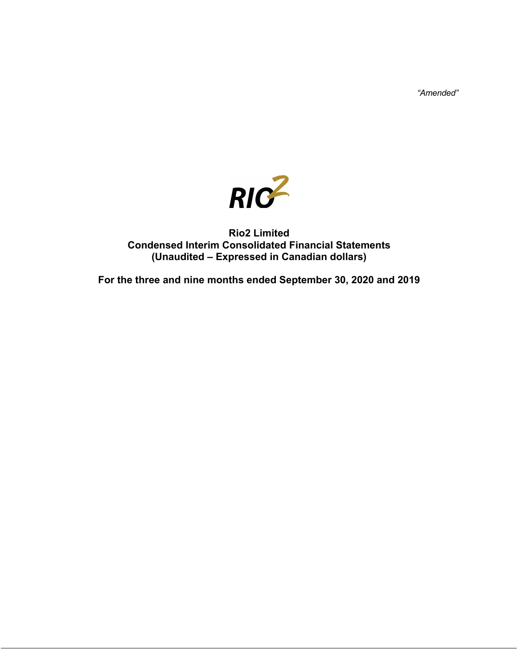*"Amended"*



# **Rio2 Limited Condensed Interim Consolidated Financial Statements (Unaudited – Expressed in Canadian dollars)**

**For the three and nine months ended September 30, 2020 and 2019**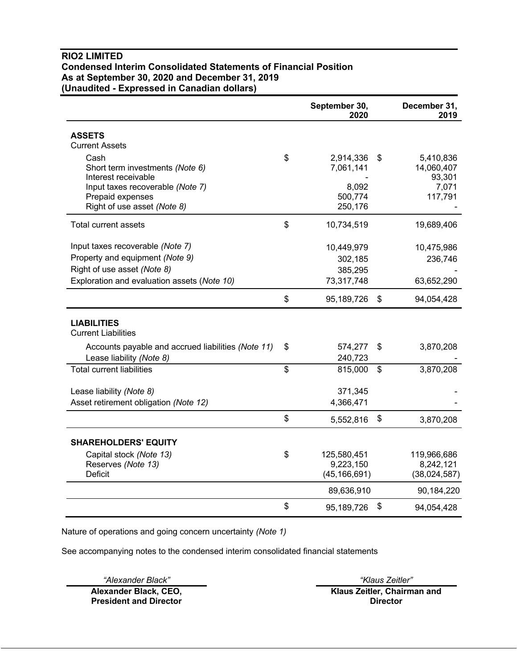# **RIO2 LIMITED Condensed Interim Consolidated Statements of Financial Position As at September 30, 2020 and December 31, 2019 (Unaudited - Expressed in Canadian dollars)**

|                                                    | September 30,<br>2020 |                | December 31,<br>2019 |
|----------------------------------------------------|-----------------------|----------------|----------------------|
| <b>ASSETS</b>                                      |                       |                |                      |
| <b>Current Assets</b>                              |                       |                |                      |
| Cash                                               | \$<br>2,914,336       | \$             | 5,410,836            |
| Short term investments (Note 6)                    | 7,061,141             |                | 14,060,407           |
| Interest receivable                                |                       |                | 93,301               |
| Input taxes recoverable (Note 7)                   | 8,092                 |                | 7,071                |
| Prepaid expenses<br>Right of use asset (Note 8)    | 500,774<br>250,176    |                | 117,791              |
|                                                    |                       |                |                      |
| Total current assets                               | \$<br>10,734,519      |                | 19,689,406           |
| Input taxes recoverable (Note 7)                   | 10,449,979            |                | 10,475,986           |
| Property and equipment (Note 9)                    | 302,185               |                | 236,746              |
| Right of use asset (Note 8)                        | 385,295               |                |                      |
| Exploration and evaluation assets (Note 10)        | 73,317,748            |                | 63,652,290           |
|                                                    | \$<br>95,189,726      | \$             | 94,054,428           |
| <b>LIABILITIES</b>                                 |                       |                |                      |
| <b>Current Liabilities</b>                         |                       |                |                      |
| Accounts payable and accrued liabilities (Note 11) | \$<br>574,277         | \$             | 3,870,208            |
| Lease liability (Note 8)                           | 240,723               |                |                      |
| <b>Total current liabilities</b>                   | \$<br>815,000         | $\mathfrak{S}$ | 3,870,208            |
| Lease liability (Note 8)                           | 371,345               |                |                      |
| Asset retirement obligation (Note 12)              | 4,366,471             |                |                      |
|                                                    | \$<br>5,552,816       | \$             | 3,870,208            |
| <b>SHAREHOLDERS' EQUITY</b>                        |                       |                |                      |
| Capital stock (Note 13)                            | \$<br>125,580,451     |                | 119,966,686          |
| Reserves (Note 13)                                 | 9,223,150             |                | 8,242,121            |
| <b>Deficit</b>                                     | (45, 166, 691)        |                | (38,024,587)         |
|                                                    | 89,636,910            |                | 90,184,220           |
|                                                    | \$<br>95,189,726      | \$             | 94,054,428           |

Nature of operations and going concern uncertainty *(Note 1)*

See accompanying notes to the condensed interim consolidated financial statements

*"Alexander Black" "Klaus Zeitler"*

**Alexander Black, CEO, President and Director**

**Klaus Zeitler, Chairman and Director**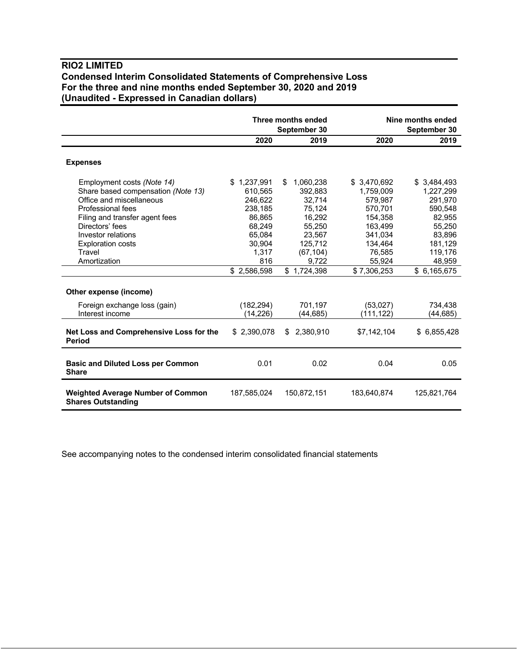# **RIO2 LIMITED Condensed Interim Consolidated Statements of Comprehensive Loss For the three and nine months ended September 30, 2020 and 2019 (Unaudited - Expressed in Canadian dollars)**

|                                                                                                                                                                                                                                                    |                                                                                                                     | Three months ended<br>September 30                                                                                           | Nine months ended<br>September 30                                                                                             |                                                                                                                             |
|----------------------------------------------------------------------------------------------------------------------------------------------------------------------------------------------------------------------------------------------------|---------------------------------------------------------------------------------------------------------------------|------------------------------------------------------------------------------------------------------------------------------|-------------------------------------------------------------------------------------------------------------------------------|-----------------------------------------------------------------------------------------------------------------------------|
|                                                                                                                                                                                                                                                    | 2020                                                                                                                | 2019                                                                                                                         | 2020                                                                                                                          | 2019                                                                                                                        |
| <b>Expenses</b>                                                                                                                                                                                                                                    |                                                                                                                     |                                                                                                                              |                                                                                                                               |                                                                                                                             |
| Employment costs (Note 14)<br>Share based compensation (Note 13)<br>Office and miscellaneous<br>Professional fees<br>Filing and transfer agent fees<br>Directors' fees<br>Investor relations<br><b>Exploration costs</b><br>Travel<br>Amortization | \$1,237,991<br>610,565<br>246.622<br>238,185<br>86,865<br>68,249<br>65,084<br>30.904<br>1,317<br>816<br>\$2,586,598 | 1,060,238<br>\$<br>392,883<br>32.714<br>75,124<br>16,292<br>55,250<br>23,567<br>125,712<br>(67, 104)<br>9,722<br>\$1,724,398 | \$3,470,692<br>1,759,009<br>579.987<br>570,701<br>154,358<br>163,499<br>341,034<br>134,464<br>76,585<br>55,924<br>\$7,306,253 | \$3,484,493<br>1,227,299<br>291,970<br>590,548<br>82,955<br>55,250<br>83,896<br>181,129<br>119,176<br>48,959<br>\$6,165,675 |
| Other expense (income)                                                                                                                                                                                                                             |                                                                                                                     |                                                                                                                              |                                                                                                                               |                                                                                                                             |
| Foreign exchange loss (gain)<br>Interest income                                                                                                                                                                                                    | (182, 294)<br>(14, 226)                                                                                             | 701,197<br>(44, 685)                                                                                                         | (53,027)<br>(111, 122)                                                                                                        | 734,438<br>(44,685)                                                                                                         |
| Net Loss and Comprehensive Loss for the<br><b>Period</b>                                                                                                                                                                                           | \$2,390,078                                                                                                         | \$2,380,910                                                                                                                  | \$7,142,104                                                                                                                   | \$6,855,428                                                                                                                 |
| <b>Basic and Diluted Loss per Common</b><br><b>Share</b>                                                                                                                                                                                           | 0.01                                                                                                                | 0.02                                                                                                                         | 0.04                                                                                                                          | 0.05                                                                                                                        |
| <b>Weighted Average Number of Common</b><br><b>Shares Outstanding</b>                                                                                                                                                                              | 187,585,024                                                                                                         | 150,872,151                                                                                                                  | 183,640,874                                                                                                                   | 125,821,764                                                                                                                 |

See accompanying notes to the condensed interim consolidated financial statements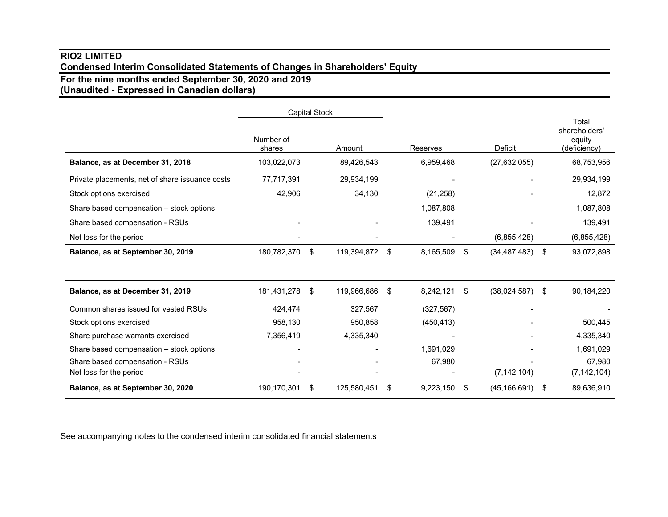# **RIO2 LIMITED Condensed Interim Consolidated Statements of Changes in Shareholders' Equity**

**For the nine months ended September 30, 2020 and 2019**

**(Unaudited - Expressed in Canadian dollars)**

|                                                 | <b>Capital Stock</b> |     |             |    |            |                      |                                                  |
|-------------------------------------------------|----------------------|-----|-------------|----|------------|----------------------|--------------------------------------------------|
|                                                 | Number of<br>shares  |     | Amount      |    | Reserves   | <b>Deficit</b>       | Total<br>shareholders'<br>equity<br>(deficiency) |
| Balance, as at December 31, 2018                | 103,022,073          |     | 89,426,543  |    | 6,959,468  | (27, 632, 055)       | 68,753,956                                       |
| Private placements, net of share issuance costs | 77,717,391           |     | 29,934,199  |    |            |                      | 29,934,199                                       |
| Stock options exercised                         | 42,906               |     | 34,130      |    | (21, 258)  |                      | 12,872                                           |
| Share based compensation - stock options        |                      |     |             |    | 1,087,808  |                      | 1,087,808                                        |
| Share based compensation - RSUs                 |                      |     |             |    | 139,491    |                      | 139,491                                          |
| Net loss for the period                         |                      |     |             |    |            | (6,855,428)          | (6,855,428)                                      |
| Balance, as at September 30, 2019               | 180,782,370          | \$  | 119,394,872 | S. | 8,165,509  | \$<br>(34, 487, 483) | \$<br>93,072,898                                 |
|                                                 |                      |     |             |    |            |                      |                                                  |
| Balance, as at December 31, 2019                | 181,431,278          | -\$ | 119,966,686 | \$ | 8,242,121  | \$<br>(38,024,587)   | \$<br>90,184,220                                 |
| Common shares issued for vested RSUs            | 424,474              |     | 327,567     |    | (327, 567) | -                    |                                                  |
| Stock options exercised                         | 958,130              |     | 950,858     |    | (450, 413) |                      | 500,445                                          |
| Share purchase warrants exercised               | 7,356,419            |     | 4,335,340   |    |            |                      | 4,335,340                                        |
| Share based compensation - stock options        |                      |     |             |    | 1,691,029  |                      | 1,691,029                                        |
| Share based compensation - RSUs                 |                      |     |             |    | 67,980     |                      | 67,980                                           |
| Net loss for the period                         |                      |     |             |    |            | (7, 142, 104)        | (7, 142, 104)                                    |
| Balance, as at September 30, 2020               | 190,170,301          | \$  | 125,580,451 | \$ | 9,223,150  | \$<br>(45, 166, 691) | \$<br>89,636,910                                 |

See accompanying notes to the condensed interim consolidated financial statements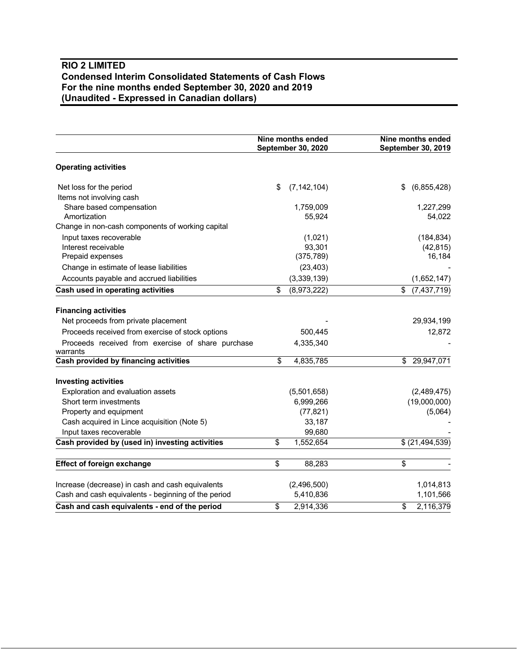# **RIO 2 LIMITED Condensed Interim Consolidated Statements of Cash Flows For the nine months ended September 30, 2020 and 2019 (Unaudited - Expressed in Canadian dollars)**

|                                                               | Nine months ended<br>September 30, 2020 | Nine months ended<br><b>September 30, 2019</b> |  |  |
|---------------------------------------------------------------|-----------------------------------------|------------------------------------------------|--|--|
| <b>Operating activities</b>                                   |                                         |                                                |  |  |
| Net loss for the period                                       | \$<br>(7, 142, 104)                     | \$<br>(6,855,428)                              |  |  |
| Items not involving cash                                      |                                         |                                                |  |  |
| Share based compensation                                      | 1,759,009                               | 1,227,299                                      |  |  |
| Amortization                                                  | 55,924                                  | 54,022                                         |  |  |
| Change in non-cash components of working capital              |                                         |                                                |  |  |
| Input taxes recoverable                                       | (1,021)                                 | (184, 834)                                     |  |  |
| Interest receivable                                           | 93,301                                  | (42, 815)                                      |  |  |
| Prepaid expenses                                              | (375, 789)                              | 16,184                                         |  |  |
| Change in estimate of lease liabilities                       | (23, 403)                               |                                                |  |  |
| Accounts payable and accrued liabilities                      | (3,339,139)                             | (1,652,147)                                    |  |  |
| Cash used in operating activities                             | (8,973,222)<br>\$                       | (7,437,719)<br>\$                              |  |  |
| <b>Financing activities</b>                                   |                                         |                                                |  |  |
| Net proceeds from private placement                           |                                         | 29,934,199                                     |  |  |
| Proceeds received from exercise of stock options              | 500,445                                 | 12,872                                         |  |  |
| Proceeds received from exercise of share purchase<br>warrants | 4,335,340                               |                                                |  |  |
| Cash provided by financing activities                         | \$<br>4,835,785                         | \$<br>29,947,071                               |  |  |
| <b>Investing activities</b>                                   |                                         |                                                |  |  |
| Exploration and evaluation assets                             | (5,501,658)                             | (2,489,475)                                    |  |  |
| Short term investments                                        | 6,999,266                               | (19,000,000)                                   |  |  |
| Property and equipment                                        | (77, 821)                               | (5,064)                                        |  |  |
| Cash acquired in Lince acquisition (Note 5)                   | 33,187                                  |                                                |  |  |
| Input taxes recoverable                                       | 99,680                                  |                                                |  |  |
| Cash provided by (used in) investing activities               | \$<br>1,552,654                         | \$ (21, 494, 539)                              |  |  |
| <b>Effect of foreign exchange</b>                             | \$<br>88,283                            | \$                                             |  |  |
| Increase (decrease) in cash and cash equivalents              | (2,496,500)                             | 1,014,813                                      |  |  |
| Cash and cash equivalents - beginning of the period           | 5,410,836                               | 1,101,566                                      |  |  |
| Cash and cash equivalents - end of the period                 | \$<br>2,914,336                         | 2,116,379<br>\$                                |  |  |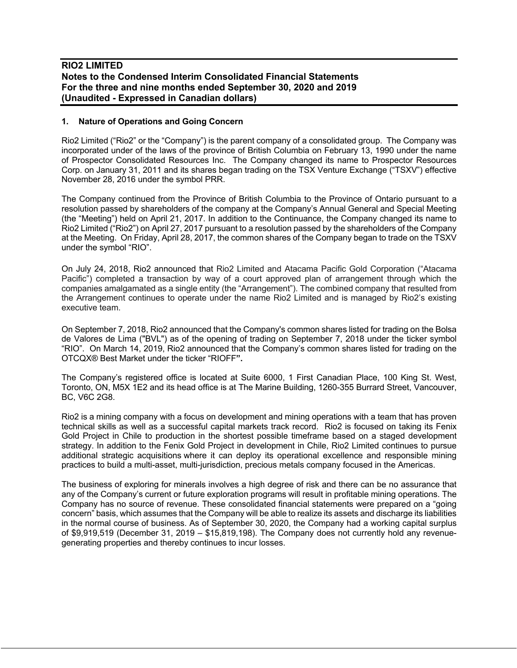#### **1. Nature of Operations and Going Concern**

Rio2 Limited ("Rio2" or the "Company") is the parent company of a consolidated group. The Company was incorporated under of the laws of the province of British Columbia on February 13, 1990 under the name of Prospector Consolidated Resources Inc. The Company changed its name to Prospector Resources Corp. on January 31, 2011 and its shares began trading on the TSX Venture Exchange ("TSXV") effective November 28, 2016 under the symbol PRR.

The Company continued from the Province of British Columbia to the Province of Ontario pursuant to a resolution passed by shareholders of the company at the Company's Annual General and Special Meeting (the "Meeting") held on April 21, 2017. In addition to the Continuance, the Company changed its name to Rio2 Limited ("Rio2") on April 27, 2017 pursuant to a resolution passed by the shareholders of the Company at the Meeting. On Friday, April 28, 2017, the common shares of the Company began to trade on the TSXV under the symbol "RIO".

On July 24, 2018, Rio2 announced that Rio2 Limited and Atacama Pacific Gold Corporation ("Atacama Pacific") completed a transaction by way of a court approved plan of arrangement through which the companies amalgamated as a single entity (the "Arrangement"). The combined company that resulted from the Arrangement continues to operate under the name Rio2 Limited and is managed by Rio2's existing executive team.

On September 7, 2018, Rio2 announced that the Company's common shares listed for trading on the Bolsa de Valores de Lima ("BVL") as of the opening of trading on September 7, 2018 under the ticker symbol "RIO". On March 14, 2019, Rio2 announced that the Company's common shares listed for trading on the OTCQX® Best Market under the ticker "RIOFF**".**

The Company's registered office is located at Suite 6000, 1 First Canadian Place, 100 King St. West, Toronto, ON, M5X 1E2 and its head office is at The Marine Building, 1260-355 Burrard Street, Vancouver, BC, V6C 2G8.

Rio2 is a mining company with a focus on development and mining operations with a team that has proven technical skills as well as a successful capital markets track record. Rio2 is focused on taking its Fenix Gold Project in Chile to production in the shortest possible timeframe based on a staged development strategy. In addition to the Fenix Gold Project in development in Chile, Rio2 Limited continues to pursue additional strategic acquisitions where it can deploy its operational excellence and responsible mining practices to build a multi-asset, multi-jurisdiction, precious metals company focused in the Americas.

The business of exploring for minerals involves a high degree of risk and there can be no assurance that any of the Company's current or future exploration programs will result in profitable mining operations. The Company has no source of revenue. These consolidated financial statements were prepared on a "going concern" basis, which assumes that the Company will be able to realize its assets and discharge its liabilities in the normal course of business. As of September 30, 2020, the Company had a working capital surplus of \$9,919,519 (December 31, 2019 – \$15,819,198). The Company does not currently hold any revenuegenerating properties and thereby continues to incur losses.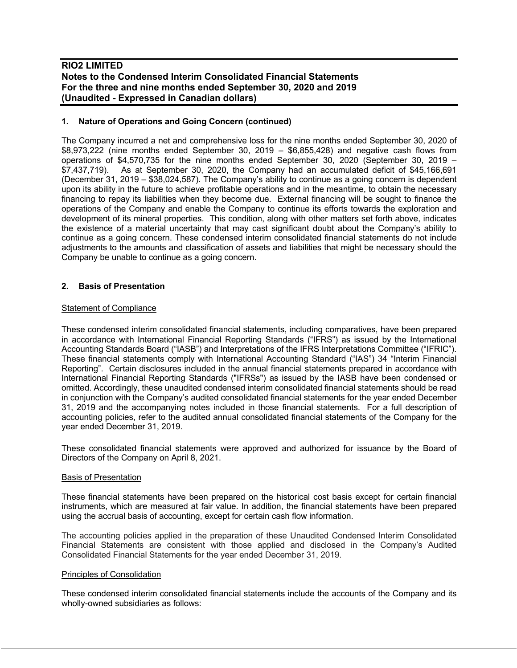#### **1. Nature of Operations and Going Concern (continued)**

The Company incurred a net and comprehensive loss for the nine months ended September 30, 2020 of \$8,973,222 (nine months ended September 30, 2019 – \$6,855,428) and negative cash flows from operations of \$4,570,735 for the nine months ended September 30, 2020 (September 30, 2019 – \$7,437,719). As at September 30, 2020, the Company had an accumulated deficit of \$45,166,691 (December 31, 2019 – \$38,024,587). The Company's ability to continue as a going concern is dependent upon its ability in the future to achieve profitable operations and in the meantime, to obtain the necessary financing to repay its liabilities when they become due. External financing will be sought to finance the operations of the Company and enable the Company to continue its efforts towards the exploration and development of its mineral properties. This condition, along with other matters set forth above, indicates the existence of a material uncertainty that may cast significant doubt about the Company's ability to continue as a going concern. These condensed interim consolidated financial statements do not include adjustments to the amounts and classification of assets and liabilities that might be necessary should the Company be unable to continue as a going concern.

### **2. Basis of Presentation**

#### Statement of Compliance

These condensed interim consolidated financial statements, including comparatives, have been prepared in accordance with International Financial Reporting Standards ("IFRS") as issued by the International Accounting Standards Board ("IASB") and Interpretations of the IFRS Interpretations Committee ("IFRIC"). These financial statements comply with International Accounting Standard ("IAS") 34 "Interim Financial Reporting". Certain disclosures included in the annual financial statements prepared in accordance with International Financial Reporting Standards ("IFRSs") as issued by the IASB have been condensed or omitted. Accordingly, these unaudited condensed interim consolidated financial statements should be read in conjunction with the Company's audited consolidated financial statements for the year ended December 31, 2019 and the accompanying notes included in those financial statements. For a full description of accounting policies, refer to the audited annual consolidated financial statements of the Company for the year ended December 31, 2019.

These consolidated financial statements were approved and authorized for issuance by the Board of Directors of the Company on April 8, 2021.

#### Basis of Presentation

These financial statements have been prepared on the historical cost basis except for certain financial instruments, which are measured at fair value. In addition, the financial statements have been prepared using the accrual basis of accounting, except for certain cash flow information.

The accounting policies applied in the preparation of these Unaudited Condensed Interim Consolidated Financial Statements are consistent with those applied and disclosed in the Company's Audited Consolidated Financial Statements for the year ended December 31, 2019.

#### Principles of Consolidation

These condensed interim consolidated financial statements include the accounts of the Company and its wholly-owned subsidiaries as follows: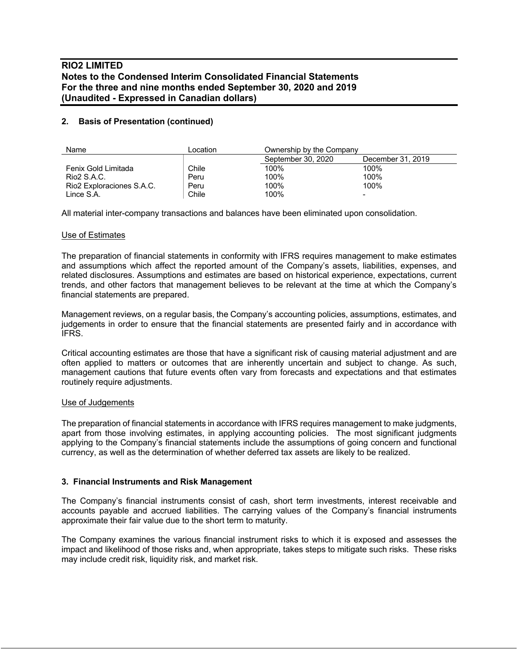### **2. Basis of Presentation (continued)**

| Name                      | Location | Ownership by the Company |                          |  |  |  |
|---------------------------|----------|--------------------------|--------------------------|--|--|--|
|                           |          | September 30, 2020       | December 31, 2019        |  |  |  |
| Fenix Gold Limitada       | Chile    | 100%                     | 100%                     |  |  |  |
| Rio2 S.A.C.               | Peru     | 100%                     | 100%                     |  |  |  |
| Rio2 Exploraciones S.A.C. | Peru     | 100%                     | 100%                     |  |  |  |
| Lince S.A.                | Chile    | 100%                     | $\overline{\phantom{a}}$ |  |  |  |

All material inter-company transactions and balances have been eliminated upon consolidation.

#### Use of Estimates

The preparation of financial statements in conformity with IFRS requires management to make estimates and assumptions which affect the reported amount of the Company's assets, liabilities, expenses, and related disclosures. Assumptions and estimates are based on historical experience, expectations, current trends, and other factors that management believes to be relevant at the time at which the Company's financial statements are prepared.

Management reviews, on a regular basis, the Company's accounting policies, assumptions, estimates, and judgements in order to ensure that the financial statements are presented fairly and in accordance with IFRS.

Critical accounting estimates are those that have a significant risk of causing material adjustment and are often applied to matters or outcomes that are inherently uncertain and subject to change. As such, management cautions that future events often vary from forecasts and expectations and that estimates routinely require adjustments.

#### Use of Judgements

The preparation of financial statements in accordance with IFRS requires management to make judgments, apart from those involving estimates, in applying accounting policies. The most significant judgments applying to the Company's financial statements include the assumptions of going concern and functional currency, as well as the determination of whether deferred tax assets are likely to be realized.

### **3. Financial Instruments and Risk Management**

The Company's financial instruments consist of cash, short term investments, interest receivable and accounts payable and accrued liabilities. The carrying values of the Company's financial instruments approximate their fair value due to the short term to maturity.

The Company examines the various financial instrument risks to which it is exposed and assesses the impact and likelihood of those risks and, when appropriate, takes steps to mitigate such risks. These risks may include credit risk, liquidity risk, and market risk.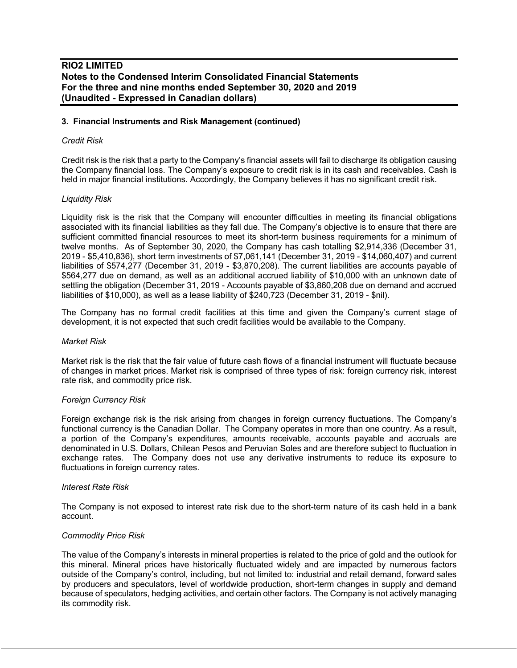#### **3. Financial Instruments and Risk Management (continued)**

#### *Credit Risk*

Credit risk is the risk that a party to the Company's financial assets will fail to discharge its obligation causing the Company financial loss. The Company's exposure to credit risk is in its cash and receivables. Cash is held in major financial institutions. Accordingly, the Company believes it has no significant credit risk.

#### *Liquidity Risk*

Liquidity risk is the risk that the Company will encounter difficulties in meeting its financial obligations associated with its financial liabilities as they fall due. The Company's objective is to ensure that there are sufficient committed financial resources to meet its short-term business requirements for a minimum of twelve months. As of September 30, 2020, the Company has cash totalling \$2,914,336 (December 31, 2019 - \$5,410,836), short term investments of \$7,061,141 (December 31, 2019 - \$14,060,407) and current liabilities of \$574,277 (December 31, 2019 - \$3,870,208). The current liabilities are accounts payable of \$564,277 due on demand, as well as an additional accrued liability of \$10,000 with an unknown date of settling the obligation (December 31, 2019 - Accounts payable of \$3,860,208 due on demand and accrued liabilities of \$10,000), as well as a lease liability of \$240,723 (December 31, 2019 - \$nil).

The Company has no formal credit facilities at this time and given the Company's current stage of development, it is not expected that such credit facilities would be available to the Company.

#### *Market Risk*

Market risk is the risk that the fair value of future cash flows of a financial instrument will fluctuate because of changes in market prices. Market risk is comprised of three types of risk: foreign currency risk, interest rate risk, and commodity price risk.

#### *Foreign Currency Risk*

Foreign exchange risk is the risk arising from changes in foreign currency fluctuations. The Company's functional currency is the Canadian Dollar. The Company operates in more than one country. As a result, a portion of the Company's expenditures, amounts receivable, accounts payable and accruals are denominated in U.S. Dollars, Chilean Pesos and Peruvian Soles and are therefore subject to fluctuation in exchange rates. The Company does not use any derivative instruments to reduce its exposure to fluctuations in foreign currency rates.

#### *Interest Rate Risk*

The Company is not exposed to interest rate risk due to the short-term nature of its cash held in a bank account.

#### *Commodity Price Risk*

The value of the Company's interests in mineral properties is related to the price of gold and the outlook for this mineral. Mineral prices have historically fluctuated widely and are impacted by numerous factors outside of the Company's control, including, but not limited to: industrial and retail demand, forward sales by producers and speculators, level of worldwide production, short-term changes in supply and demand because of speculators, hedging activities, and certain other factors. The Company is not actively managing its commodity risk.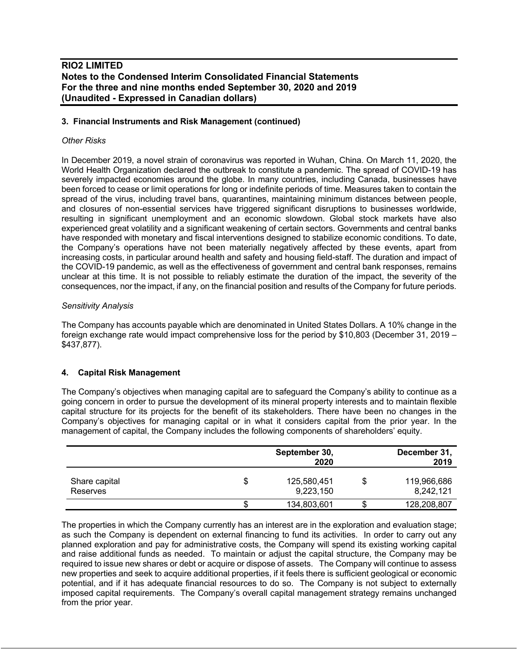### **3. Financial Instruments and Risk Management (continued)**

#### *Other Risks*

In December 2019, a novel strain of coronavirus was reported in Wuhan, China. On March 11, 2020, the World Health Organization declared the outbreak to constitute a pandemic. The spread of COVID-19 has severely impacted economies around the globe. In many countries, including Canada, businesses have been forced to cease or limit operations for long or indefinite periods of time. Measures taken to contain the spread of the virus, including travel bans, quarantines, maintaining minimum distances between people, and closures of non-essential services have triggered significant disruptions to businesses worldwide, resulting in significant unemployment and an economic slowdown. Global stock markets have also experienced great volatility and a significant weakening of certain sectors. Governments and central banks have responded with monetary and fiscal interventions designed to stabilize economic conditions. To date, the Company's operations have not been materially negatively affected by these events, apart from increasing costs, in particular around health and safety and housing field-staff. The duration and impact of the COVID-19 pandemic, as well as the effectiveness of government and central bank responses, remains unclear at this time. It is not possible to reliably estimate the duration of the impact, the severity of the consequences, nor the impact, if any, on the financial position and results of the Company for future periods.

### *Sensitivity Analysis*

The Company has accounts payable which are denominated in United States Dollars. A 10% change in the foreign exchange rate would impact comprehensive loss for the period by \$10,803 (December 31, 2019 – \$437,877).

### **4. Capital Risk Management**

The Company's objectives when managing capital are to safeguard the Company's ability to continue as a going concern in order to pursue the development of its mineral property interests and to maintain flexible capital structure for its projects for the benefit of its stakeholders. There have been no changes in the Company's objectives for managing capital or in what it considers capital from the prior year. In the management of capital, the Company includes the following components of shareholders' equity.

|                           |    | September 30,<br>2020    | December 31,<br>2019     |
|---------------------------|----|--------------------------|--------------------------|
| Share capital<br>Reserves | \$ | 125,580,451<br>9,223,150 | 119,966,686<br>8,242,121 |
|                           | J  | 134,803,601              | 128,208,807              |

The properties in which the Company currently has an interest are in the exploration and evaluation stage; as such the Company is dependent on external financing to fund its activities. In order to carry out any planned exploration and pay for administrative costs, the Company will spend its existing working capital and raise additional funds as needed. To maintain or adjust the capital structure, the Company may be required to issue new shares or debt or acquire or dispose of assets. The Company will continue to assess new properties and seek to acquire additional properties, if it feels there is sufficient geological or economic potential, and if it has adequate financial resources to do so. The Company is not subject to externally imposed capital requirements. The Company's overall capital management strategy remains unchanged from the prior year.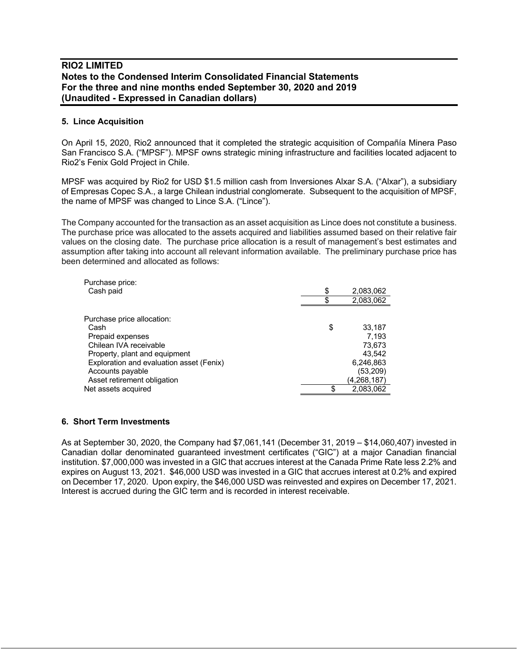#### **5. Lince Acquisition**

On April 15, 2020, Rio2 announced that it completed the strategic acquisition of Compañía Minera Paso San Francisco S.A. ("MPSF"). MPSF owns strategic mining infrastructure and facilities located adjacent to Rio2's Fenix Gold Project in Chile.

MPSF was acquired by Rio2 for USD \$1.5 million cash from Inversiones Alxar S.A. ("Alxar"), a subsidiary of Empresas Copec S.A., a large Chilean industrial conglomerate. Subsequent to the acquisition of MPSF, the name of MPSF was changed to Lince S.A. ("Lince").

The Company accounted for the transaction as an asset acquisition as Lince does not constitute a business. The purchase price was allocated to the assets acquired and liabilities assumed based on their relative fair values on the closing date. The purchase price allocation is a result of management's best estimates and assumption after taking into account all relevant information available. The preliminary purchase price has been determined and allocated as follows:

| Purchase price:                          |                 |
|------------------------------------------|-----------------|
| Cash paid                                | \$<br>2,083,062 |
|                                          | 2,083,062       |
| Purchase price allocation:               |                 |
| Cash                                     | \$<br>33,187    |
|                                          |                 |
| Prepaid expenses                         | 7.193           |
| Chilean IVA receivable                   | 73,673          |
| Property, plant and equipment            | 43.542          |
| Exploration and evaluation asset (Fenix) | 6,246,863       |
| Accounts payable                         | (53,209)        |
| Asset retirement obligation              | (4,268,187)     |
| Net assets acquired                      | 2,083,062       |

#### **6. Short Term Investments**

As at September 30, 2020, the Company had \$7,061,141 (December 31, 2019 – \$14,060,407) invested in Canadian dollar denominated guaranteed investment certificates ("GIC") at a major Canadian financial institution. \$7,000,000 was invested in a GIC that accrues interest at the Canada Prime Rate less 2.2% and expires on August 13, 2021. \$46,000 USD was invested in a GIC that accrues interest at 0.2% and expired on December 17, 2020. Upon expiry, the \$46,000 USD was reinvested and expires on December 17, 2021. Interest is accrued during the GIC term and is recorded in interest receivable.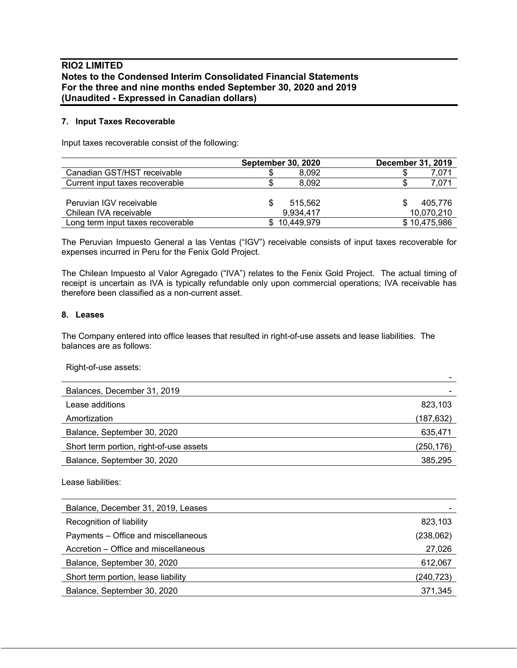### **7. Input Taxes Recoverable**

Input taxes recoverable consist of the following:

|                                   | <b>September 30, 2020</b> |              | <b>December 31, 2019</b> |
|-----------------------------------|---------------------------|--------------|--------------------------|
| Canadian GST/HST receivable       |                           | 8.092        | 7,071                    |
| Current input taxes recoverable   |                           | 8.092        | 7,071                    |
|                                   |                           |              |                          |
| Peruvian IGV receivable           |                           | 515.562      | 405.776                  |
| Chilean IVA receivable            |                           | 9,934,417    | 10,070,210               |
| Long term input taxes recoverable |                           | \$10,449,979 | \$10,475,986             |

The Peruvian Impuesto General a las Ventas ("IGV") receivable consists of input taxes recoverable for expenses incurred in Peru for the Fenix Gold Project.

The Chilean Impuesto al Valor Agregado ("IVA") relates to the Fenix Gold Project. The actual timing of receipt is uncertain as IVA is typically refundable only upon commercial operations; IVA receivable has therefore been classified as a non-current asset.

#### **8. Leases**

The Company entered into office leases that resulted in right-of-use assets and lease liabilities. The balances are as follows:

Right-of-use assets:

| Balances, December 31, 2019             |           |
|-----------------------------------------|-----------|
| Lease additions                         | 823,103   |
| Amortization                            | (187,632) |
| Balance, September 30, 2020             | 635,471   |
| Short term portion, right-of-use assets | (250,176) |
| Balance, September 30, 2020             | 385,295   |

Lease liabilities:

| Balance, December 31, 2019, Leases   |           |
|--------------------------------------|-----------|
| Recognition of liability             | 823,103   |
| Payments - Office and miscellaneous  | (238,062) |
| Accretion – Office and miscellaneous | 27,026    |
| Balance, September 30, 2020          | 612,067   |
| Short term portion, lease liability  | (240,723) |
| Balance, September 30, 2020          | 371,345   |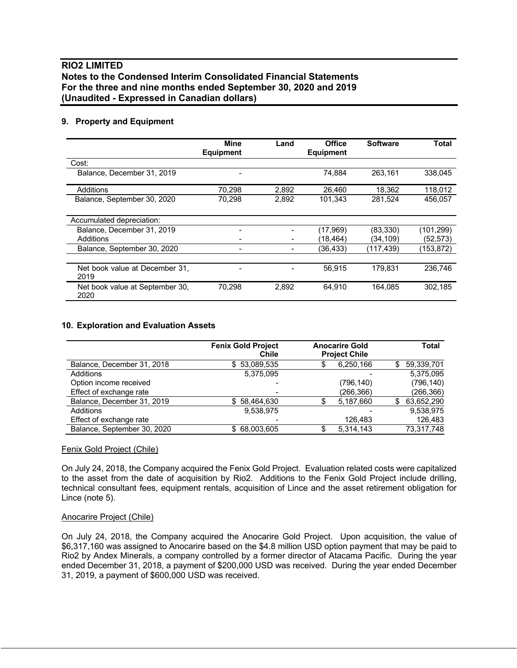### **9. Property and Equipment**

|                                         | Mine<br><b>Equipment</b> | Land  | <b>Office</b><br><b>Equipment</b> | <b>Software</b> | Total     |
|-----------------------------------------|--------------------------|-------|-----------------------------------|-----------------|-----------|
| Cost:                                   |                          |       |                                   |                 |           |
| Balance, December 31, 2019              |                          |       | 74.884                            | 263.161         | 338.045   |
| Additions                               | 70.298                   | 2,892 | 26.460                            | 18,362          | 118,012   |
| Balance, September 30, 2020             | 70,298                   | 2,892 | 101,343                           | 281,524         | 456.057   |
| Accumulated depreciation:               |                          |       |                                   |                 |           |
| Balance, December 31, 2019              |                          |       | (17,969)                          | (83, 330)       | (101,299) |
| Additions                               |                          |       | (18,464)                          | (34, 109)       | (52,573)  |
| Balance, September 30, 2020             | -                        |       | (36,433)                          | (117,439)       | (153,872) |
| Net book value at December 31,<br>2019  |                          |       | 56.915                            | 179.831         | 236.746   |
| Net book value at September 30,<br>2020 | 70,298                   | 2,892 | 64,910                            | 164.085         | 302,185   |

### **10. Exploration and Evaluation Assets**

|                             | <b>Fenix Gold Project</b><br>Chile | <b>Anocarire Gold</b><br><b>Project Chile</b> |            |     | Total      |
|-----------------------------|------------------------------------|-----------------------------------------------|------------|-----|------------|
| Balance, December 31, 2018  | \$53,089,535                       |                                               | 6,250,166  | \$. | 59,339,701 |
| Additions                   | 5,375,095                          |                                               |            |     | 5.375.095  |
| Option income received      |                                    |                                               | (796, 140) |     | (796, 140) |
| Effect of exchange rate     |                                    |                                               | (266,366)  |     | (266,366)  |
| Balance, December 31, 2019  | 58,464,630<br>S.                   |                                               | 5,187,660  | S   | 63,652,290 |
| Additions                   | 9.538.975                          |                                               |            |     | 9,538,975  |
| Effect of exchange rate     |                                    |                                               | 126,483    |     | 126,483    |
| Balance, September 30, 2020 | \$68,003,605                       |                                               | 5,314,143  |     | 73,317,748 |

#### Fenix Gold Project (Chile)

On July 24, 2018, the Company acquired the Fenix Gold Project. Evaluation related costs were capitalized to the asset from the date of acquisition by Rio2. Additions to the Fenix Gold Project include drilling, technical consultant fees, equipment rentals, acquisition of Lince and the asset retirement obligation for Lince (note 5).

#### Anocarire Project (Chile)

On July 24, 2018, the Company acquired the Anocarire Gold Project. Upon acquisition, the value of \$6,317,160 was assigned to Anocarire based on the \$4.8 million USD option payment that may be paid to Rio2 by Andex Minerals, a company controlled by a former director of Atacama Pacific. During the year ended December 31, 2018, a payment of \$200,000 USD was received. During the year ended December 31, 2019, a payment of \$600,000 USD was received.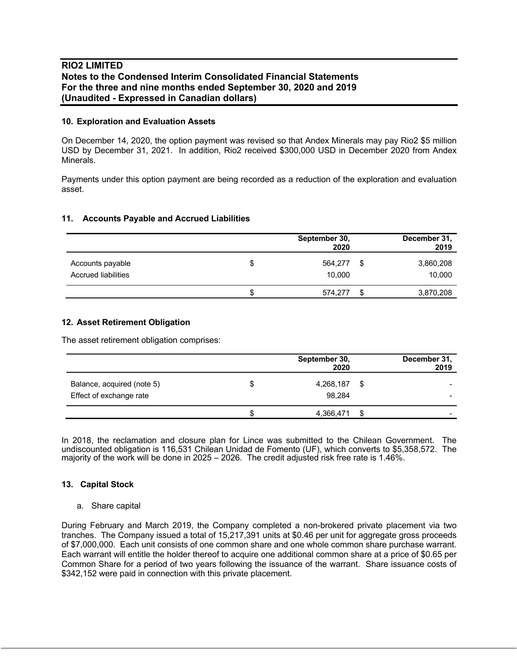#### **10. Exploration and Evaluation Assets**

On December 14, 2020, the option payment was revised so that Andex Minerals may pay Rio2 \$5 million USD by December 31, 2021. In addition, Rio2 received \$300,000 USD in December 2020 from Andex Minerals.

Payments under this option payment are being recorded as a reduction of the exploration and evaluation asset.

#### **11. Accounts Payable and Accrued Liabilities**

|                                         |     |                   | December 31,<br>2019 |                     |
|-----------------------------------------|-----|-------------------|----------------------|---------------------|
| Accounts payable<br>Accrued liabilities | S   | 564,277<br>10.000 | S                    | 3,860,208<br>10,000 |
|                                         | .T. | 574,277           | S                    | 3,870,208           |

#### **12. Asset Retirement Obligation**

The asset retirement obligation comprises:

|                                                       |   | September 30,<br>2020 |      | December 31,<br>2019                                 |
|-------------------------------------------------------|---|-----------------------|------|------------------------------------------------------|
| Balance, acquired (note 5)<br>Effect of exchange rate | S | 4,268,187<br>98.284   | - \$ | $\overline{\phantom{a}}$<br>$\overline{\phantom{a}}$ |
|                                                       |   | 4,366,471             | ß.   | $\overline{\phantom{0}}$                             |

In 2018, the reclamation and closure plan for Lince was submitted to the Chilean Government. The undiscounted obligation is 116,531 Chilean Unidad de Fomento (UF), which converts to \$5,358,572. The majority of the work will be done in 2025 – 2026. The credit adjusted risk free rate is 1.46%.

#### **13. Capital Stock**

#### a. Share capital

During February and March 2019, the Company completed a non-brokered private placement via two tranches. The Company issued a total of 15,217,391 units at \$0.46 per unit for aggregate gross proceeds of \$7,000,000. Each unit consists of one common share and one whole common share purchase warrant. Each warrant will entitle the holder thereof to acquire one additional common share at a price of \$0.65 per Common Share for a period of two years following the issuance of the warrant. Share issuance costs of \$342,152 were paid in connection with this private placement.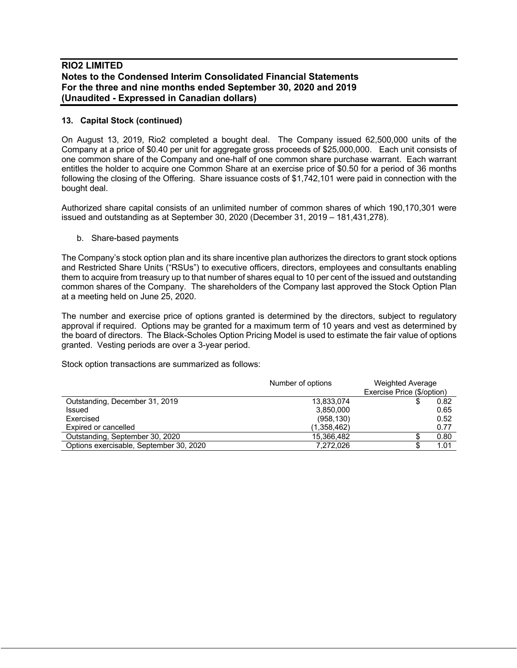### **13. Capital Stock (continued)**

On August 13, 2019, Rio2 completed a bought deal. The Company issued 62,500,000 units of the Company at a price of \$0.40 per unit for aggregate gross proceeds of \$25,000,000. Each unit consists of one common share of the Company and one-half of one common share purchase warrant. Each warrant entitles the holder to acquire one Common Share at an exercise price of \$0.50 for a period of 36 months following the closing of the Offering. Share issuance costs of \$1,742,101 were paid in connection with the bought deal.

Authorized share capital consists of an unlimited number of common shares of which 190,170,301 were issued and outstanding as at September 30, 2020 (December 31, 2019 – 181,431,278).

b. Share-based payments

The Company's stock option plan and its share incentive plan authorizes the directors to grant stock options and Restricted Share Units ("RSUs") to executive officers, directors, employees and consultants enabling them to acquire from treasury up to that number of shares equal to 10 per cent of the issued and outstanding common shares of the Company. The shareholders of the Company last approved the Stock Option Plan at a meeting held on June 25, 2020.

The number and exercise price of options granted is determined by the directors, subject to regulatory approval if required. Options may be granted for a maximum term of 10 years and vest as determined by the board of directors. The Black-Scholes Option Pricing Model is used to estimate the fair value of options granted. Vesting periods are over a 3-year period.

Stock option transactions are summarized as follows:

|                                         | Number of options | <b>Weighted Average</b><br>Exercise Price (\$/option) |  |  |
|-----------------------------------------|-------------------|-------------------------------------------------------|--|--|
| Outstanding, December 31, 2019          | 13,833,074        | 0.82                                                  |  |  |
| Issued                                  | 3.850.000         | 0.65                                                  |  |  |
| Exercised                               | (958, 130)        | 0.52                                                  |  |  |
| Expired or cancelled                    | (1,358,462)       | 0.77                                                  |  |  |
| Outstanding, September 30, 2020         | 15,366,482        | 0.80                                                  |  |  |
| Options exercisable, September 30, 2020 | 7.272.026         | 1.01                                                  |  |  |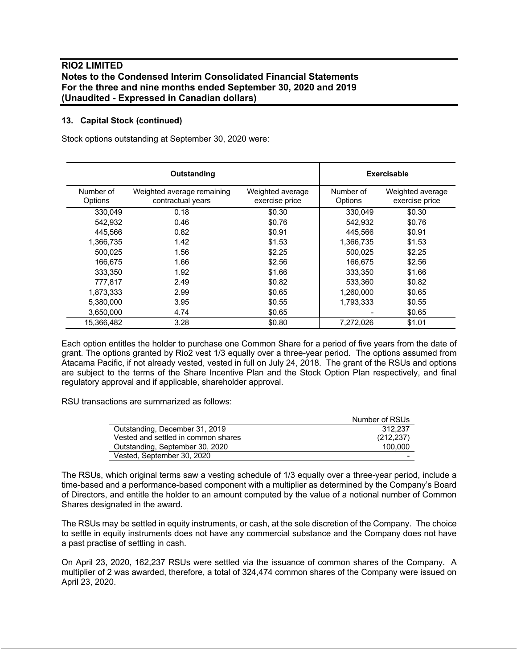### **13. Capital Stock (continued)**

Stock options outstanding at September 30, 2020 were:

|                      | Outstanding                                     |                                    | <b>Exercisable</b>   |                                    |
|----------------------|-------------------------------------------------|------------------------------------|----------------------|------------------------------------|
| Number of<br>Options | Weighted average remaining<br>contractual years | Weighted average<br>exercise price | Number of<br>Options | Weighted average<br>exercise price |
| 330.049              | 0.18                                            | \$0.30                             | 330,049              | \$0.30                             |
| 542.932              | 0.46                                            | \$0.76                             | 542,932              | \$0.76                             |
| 445.566              | 0.82                                            | \$0.91                             | 445.566              | \$0.91                             |
| 1,366,735            | 1.42                                            | \$1.53                             | 1,366,735            | \$1.53                             |
| 500.025              | 1.56                                            | \$2.25                             | 500.025              | \$2.25                             |
| 166.675              | 1.66                                            | \$2.56                             | 166,675              | \$2.56                             |
| 333.350              | 1.92                                            | \$1.66                             | 333.350              | \$1.66                             |
| 777,817              | 2.49                                            | \$0.82                             | 533,360              | \$0.82                             |
| 1,873,333            | 2.99                                            | \$0.65                             | 1,260,000            | \$0.65                             |
| 5,380,000            | 3.95                                            | \$0.55                             | 1,793,333            | \$0.55                             |
| 3,650,000            | 4.74                                            | \$0.65                             |                      | \$0.65                             |
| 15,366,482           | 3.28                                            | \$0.80                             | 7,272,026            | \$1.01                             |

Each option entitles the holder to purchase one Common Share for a period of five years from the date of grant. The options granted by Rio2 vest 1/3 equally over a three-year period. The options assumed from Atacama Pacific, if not already vested, vested in full on July 24, 2018. The grant of the RSUs and options are subject to the terms of the Share Incentive Plan and the Stock Option Plan respectively, and final regulatory approval and if applicable, shareholder approval.

RSU transactions are summarized as follows:

| Number of RSUs |
|----------------|
| 312.237        |
| (212, 237)     |
| 100.000        |
|                |
|                |

The RSUs, which original terms saw a vesting schedule of 1/3 equally over a three-year period, include a time-based and a performance-based component with a multiplier as determined by the Company's Board of Directors, and entitle the holder to an amount computed by the value of a notional number of Common Shares designated in the award.

The RSUs may be settled in equity instruments, or cash, at the sole discretion of the Company. The choice to settle in equity instruments does not have any commercial substance and the Company does not have a past practise of settling in cash.

On April 23, 2020, 162,237 RSUs were settled via the issuance of common shares of the Company. A multiplier of 2 was awarded, therefore, a total of 324,474 common shares of the Company were issued on April 23, 2020.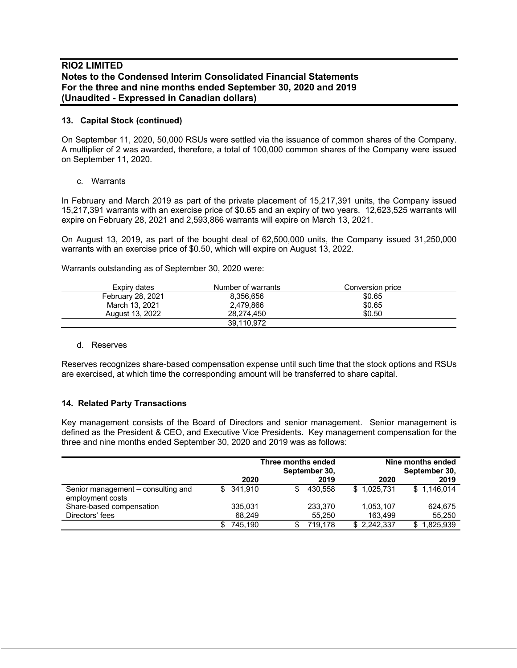#### **13. Capital Stock (continued)**

On September 11, 2020, 50,000 RSUs were settled via the issuance of common shares of the Company. A multiplier of 2 was awarded, therefore, a total of 100,000 common shares of the Company were issued on September 11, 2020.

#### c. Warrants

In February and March 2019 as part of the private placement of 15,217,391 units, the Company issued 15,217,391 warrants with an exercise price of \$0.65 and an expiry of two years. 12,623,525 warrants will expire on February 28, 2021 and 2,593,866 warrants will expire on March 13, 2021.

On August 13, 2019, as part of the bought deal of 62,500,000 units, the Company issued 31,250,000 warrants with an exercise price of \$0.50, which will expire on August 13, 2022.

Warrants outstanding as of September 30, 2020 were:

| Expiry dates      | Number of warrants | Conversion price |  |
|-------------------|--------------------|------------------|--|
| February 28, 2021 | 8.356.656          | \$0.65           |  |
| March 13, 2021    | 2.479.866          | \$0.65           |  |
| August 13, 2022   | 28.274.450         | \$0.50           |  |
|                   | 39.110.972         |                  |  |

#### d. Reserves

Reserves recognizes share-based compensation expense until such time that the stock options and RSUs are exercised, at which time the corresponding amount will be transferred to share capital.

#### **14. Related Party Transactions**

Key management consists of the Board of Directors and senior management. Senior management is defined as the President & CEO, and Executive Vice Presidents. Key management compensation for the three and nine months ended September 30, 2020 and 2019 was as follows:

|                                                        |     | Three months ended<br>September 30, |     |         | Nine months ended<br>September 30, |                  |  |
|--------------------------------------------------------|-----|-------------------------------------|-----|---------|------------------------------------|------------------|--|
|                                                        |     | 2020                                |     | 2019    | 2020                               | 2019             |  |
| Senior management – consulting and<br>employment costs | SS. | 341.910                             | \$. | 430.558 | \$1,025,731                        | \$1.146.014      |  |
| Share-based compensation                               |     | 335,031                             |     | 233,370 | 1,053,107                          | 624.675          |  |
| Directors' fees                                        |     | 68.249                              |     | 55,250  | 163.499                            | 55,250           |  |
|                                                        |     | 745.190                             |     | 719.178 | \$2.242.337                        | 1,825,939<br>\$. |  |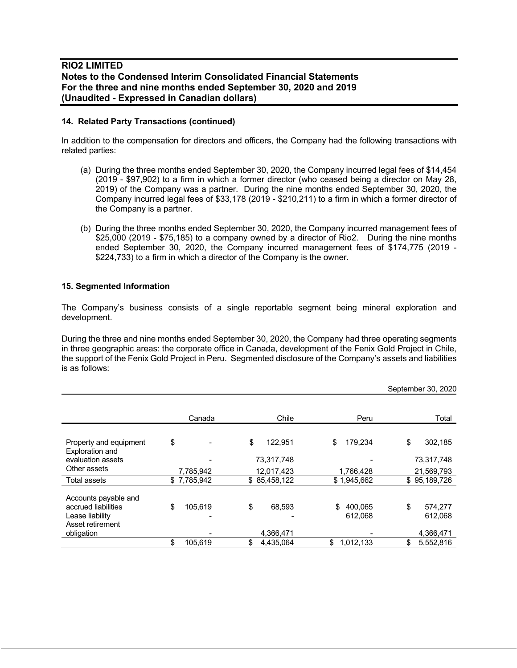#### **14. Related Party Transactions (continued)**

In addition to the compensation for directors and officers, the Company had the following transactions with related parties:

- (a) During the three months ended September 30, 2020, the Company incurred legal fees of \$14,454 (2019 - \$97,902) to a firm in which a former director (who ceased being a director on May 28, 2019) of the Company was a partner. During the nine months ended September 30, 2020, the Company incurred legal fees of \$33,178 (2019 - \$210,211) to a firm in which a former director of the Company is a partner.
- (b) During the three months ended September 30, 2020, the Company incurred management fees of \$25,000 (2019 - \$75,185) to a company owned by a director of Rio2. During the nine months ended September 30, 2020, the Company incurred management fees of \$174,775 (2019 - \$224,733) to a firm in which a director of the Company is the owner.

#### **15. Segmented Information**

The Company's business consists of a single reportable segment being mineral exploration and development.

During the three and nine months ended September 30, 2020, the Company had three operating segments in three geographic areas: the corporate office in Canada, development of the Fenix Gold Project in Chile, the support of the Fenix Gold Project in Peru. Segmented disclosure of the Company's assets and liabilities is as follows:

|                                                                                    |               |                 |                          | September 30, 2020       |
|------------------------------------------------------------------------------------|---------------|-----------------|--------------------------|--------------------------|
|                                                                                    | Canada        | Chile           | Peru                     | Total                    |
| Property and equipment<br>Exploration and                                          | \$            | \$<br>122,951   | \$<br>179,234            | \$<br>302,185            |
| evaluation assets                                                                  |               | 73,317,748      |                          | 73,317,748               |
| Other assets                                                                       | 7.785.942     | 12,017,423      | 1,766,428                | 21,569,793               |
| Total assets                                                                       | \$7,785,942   | \$85,458,122    | \$1,945,662              | \$95,189,726             |
| Accounts payable and<br>accrued liabilities<br>Lease liability<br>Asset retirement | \$<br>105,619 | \$<br>68,593    | \$<br>400,065<br>612,068 | \$<br>574,277<br>612,068 |
| obligation                                                                         |               | 4,366,471       |                          | 4,366,471                |
|                                                                                    | 105,619       | \$<br>4,435,064 | \$<br>1,012,133          | \$<br>5,552,816          |